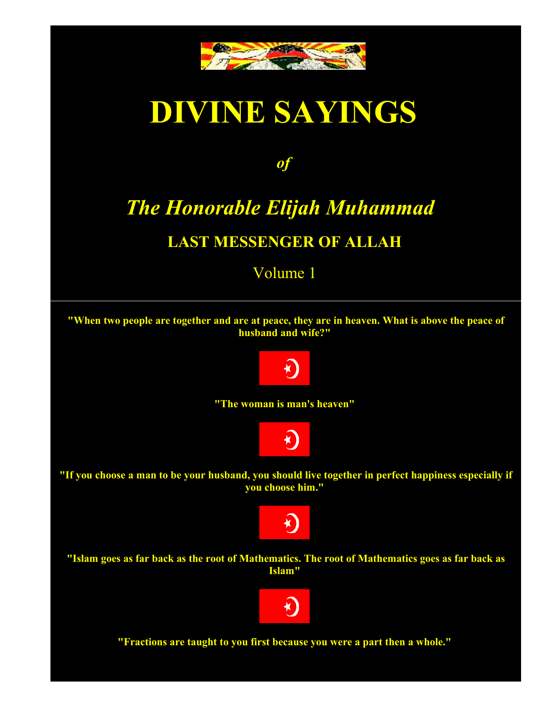

# **DIVINE SAYINGS**

*of* 

## *The Honorable Elijah Muhammad*

#### **LAST MESSENGER OF ALLAH**

#### Volume 1

**"When two people are together and are at peace, they are in heaven. What is above the peace of husband and wife?"**



**"The woman is man's heaven"**



**"If you choose a man to be your husband, you should live together in perfect happiness especially if you choose him."**



**"Islam goes as far back as the root of Mathematics. The root of Mathematics goes as far back as Islam"**



**"Fractions are taught to you first because you were a part then a whole."**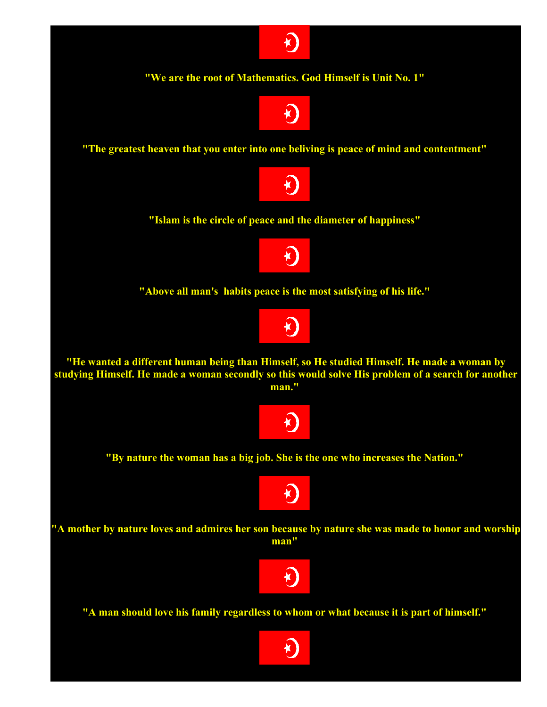

**"We are the root of Mathematics. God Himself is Unit No. 1"**



**"The greatest heaven that you enter into one beliving is peace of mind and contentment"**



**"Islam is the circle of peace and the diameter of happiness"**



**"Above all man's habits peace is the most satisfying of his life."**



**"He wanted a different human being than Himself, so He studied Himself. He made a woman by studying Himself. He made a woman secondly so this would solve His problem of a search for another man."**



**"By nature the woman has a big job. She is the one who increases the Nation."**



**"A mother by nature loves and admires her son because by nature she was made to honor and worship man"**



**"A man should love his family regardless to whom or what because it is part of himself."**

 $\bigstar$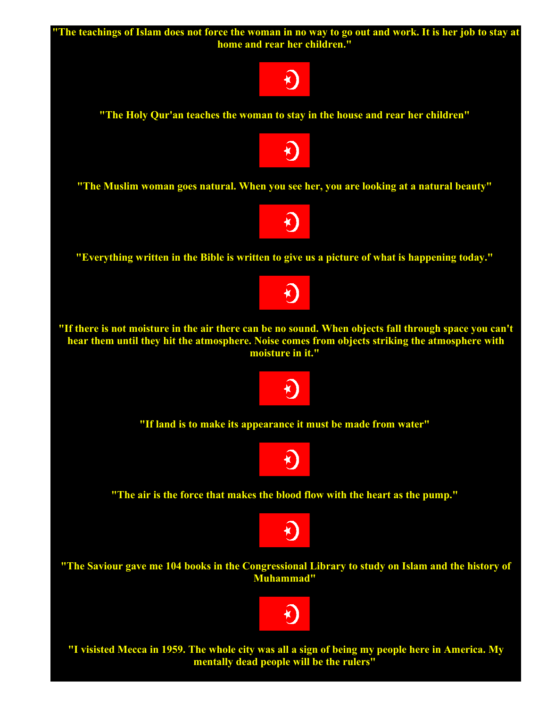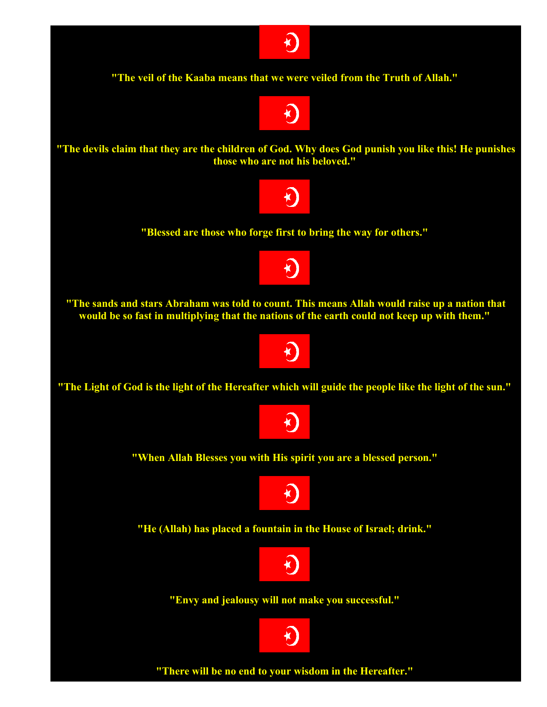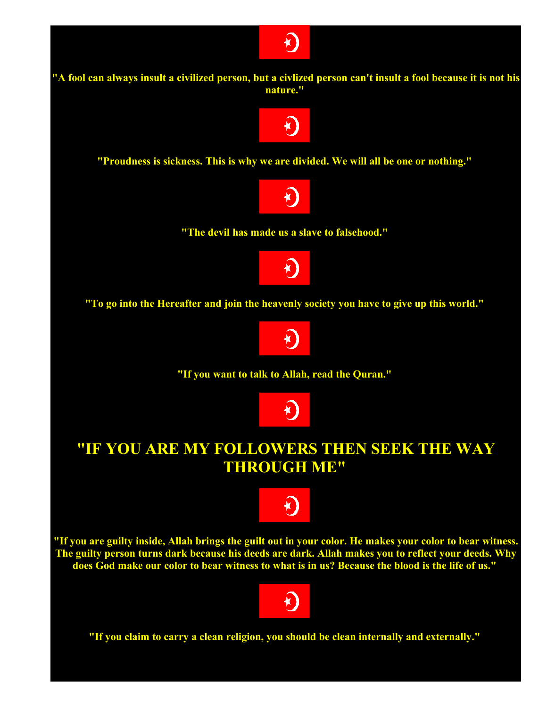

**"Proudness is sickness. This is why we are divided. We will all be one or nothing."**



**"The devil has made us a slave to falsehood."**



**"To go into the Hereafter and join the heavenly society you have to give up this world."**



**"If you want to talk to Allah, read the Quran."**



#### **"IF YOU ARE MY FOLLOWERS THEN SEEK THE WAY THROUGH ME"**



**"If you are guilty inside, Allah brings the guilt out in your color. He makes your color to bear witness. The guilty person turns dark because his deeds are dark. Allah makes you to reflect your deeds. Why does God make our color to bear witness to what is in us? Because the blood is the life of us."**



**"If you claim to carry a clean religion, you should be clean internally and externally."**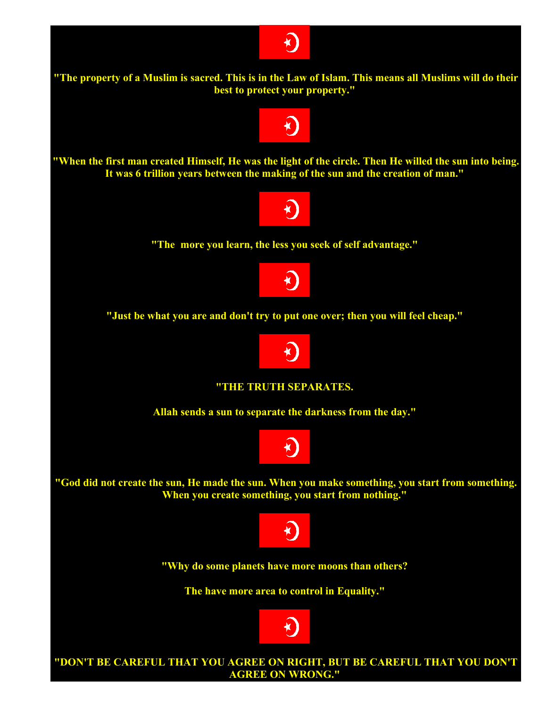



K)



**"Just be what you are and don't try to put one over; then you will feel cheap."**



**"THE TRUTH SEPARATES.** 

**Allah sends a sun to separate the darkness from the day."**



**"God did not create the sun, He made the sun. When you make something, you start from something. When you create something, you start from nothing."**



**"Why do some planets have more moons than others?** 

**The have more area to control in Equality."**



**"DON'T BE CAREFUL THAT YOU AGREE ON RIGHT, BUT BE CAREFUL THAT YOU DON'T AGREE ON WRONG."**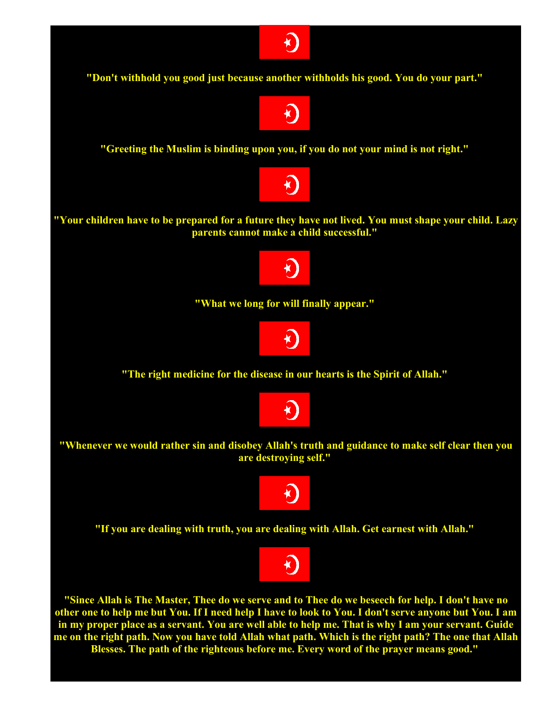

**"Whenever we would rather sin and disobey Allah's truth and guidance to make self clear then you are destroying self."**



**"If you are dealing with truth, you are dealing with Allah. Get earnest with Allah."**



**"Since Allah is The Master, Thee do we serve and to Thee do we beseech for help. I don't have no other one to help me but You. If I need help I have to look to You. I don't serve anyone but You. I am in my proper place as a servant. You are well able to help me. That is why I am your servant. Guide me on the right path. Now you have told Allah what path. Which is the right path? The one that Allah Blesses. The path of the righteous before me. Every word of the prayer means good."**